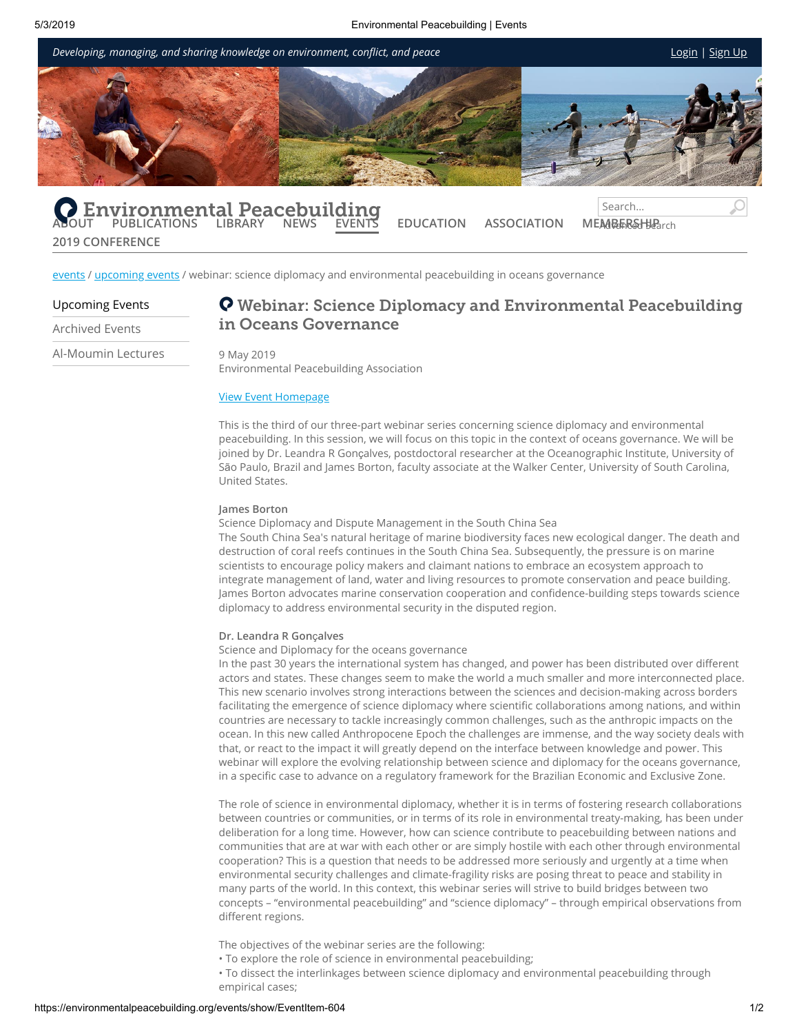

[events](https://environmentalpeacebuilding.org/events/) / [upcoming](https://environmentalpeacebuilding.org/events/?EventFilter=Upcoming) events / webinar: science diplomacy and environmental peacebuilding in oceans governance

## [Upcoming](https://environmentalpeacebuilding.org/events/?EventFilter=Upcoming) Events

**2019 [CONFERENCE](https://environmentalpeacebuilding.org/2019-conference/)**

[Archived Events](https://environmentalpeacebuilding.org/events/?EventFilter=Archive) [Al-Moumin](https://environmentalpeacebuilding.org/events/al-moumin-lectures/) Lectures

# Webinar: Science Diplomacy and Environmental Peacebuilding in Oceans Governance

#### 9 May 2019

Environmental Peacebuilding Association

# View Event [Homepage](https://www.youtube.com/watch?v=fWFLRNWqHCg)

This is the third of our three-part webinar series concerning science diplomacy and environmental peacebuilding. In this session, we will focus on this topic in the context of oceans governance. We will be joined by Dr. Leandra R Gonçalves, postdoctoral researcher at the Oceanographic Institute, University of São Paulo, Brazil and James Borton, faculty associate at the Walker Center, University of South Carolina, United States.

# **James Borton**

Science Diplomacy and Dispute Management in the South China Sea The South China Sea's natural heritage of marine biodiversity faces new ecological danger. The death and destruction of coral reefs continues in the South China Sea. Subsequently, the pressure is on marine scientists to encourage policy makers and claimant nations to embrace an ecosystem approach to integrate management of land, water and living resources to promote conservation and peace building. James Borton advocates marine conservation cooperation and confidence-building steps towards science diplomacy to address environmental security in the disputed region.

### **Dr. Leandra R Gon**ç**alves**

Science and Diplomacy for the oceans governance

In the past 30 years the international system has changed, and power has been distributed over different actors and states. These changes seem to make the world a much smaller and more interconnected place. This new scenario involves strong interactions between the sciences and decision-making across borders facilitating the emergence of science diplomacy where scientific collaborations among nations, and within countries are necessary to tackle increasingly common challenges, such as the anthropic impacts on the ocean. In this new called Anthropocene Epoch the challenges are immense, and the way society deals with that, or react to the impact it will greatly depend on the interface between knowledge and power. This webinar will explore the evolving relationship between science and diplomacy for the oceans governance, in a specific case to advance on a regulatory framework for the Brazilian Economic and Exclusive Zone.

The role of science in environmental diplomacy, whether it is in terms of fostering research collaborations between countries or communities, or in terms of its role in environmental treaty-making, has been under deliberation for a long time. However, how can science contribute to peacebuilding between nations and communities that are at war with each other or are simply hostile with each other through environmental cooperation? This is a question that needs to be addressed more seriously and urgently at a time when environmental security challenges and climate-fragility risks are posing threat to peace and stability in many parts of the world. In this context, this webinar series will strive to build bridges between two concepts – "environmental peacebuilding" and "science diplomacy" – through empirical observations from different regions.

The objectives of the webinar series are the following:

• To explore the role of science in environmental peacebuilding;

• To dissect the interlinkages between science diplomacy and environmental peacebuilding through empirical cases;